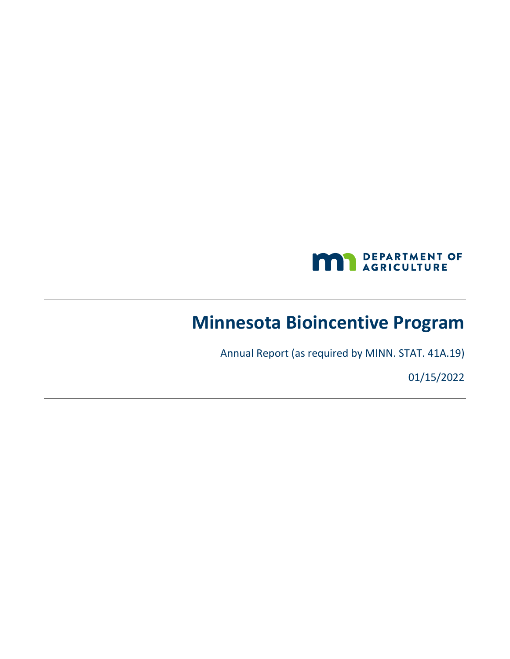

# **Minnesota Bioincentive Program**

Annual Report (as required by MINN. STAT. 41A.19)

01/15/2022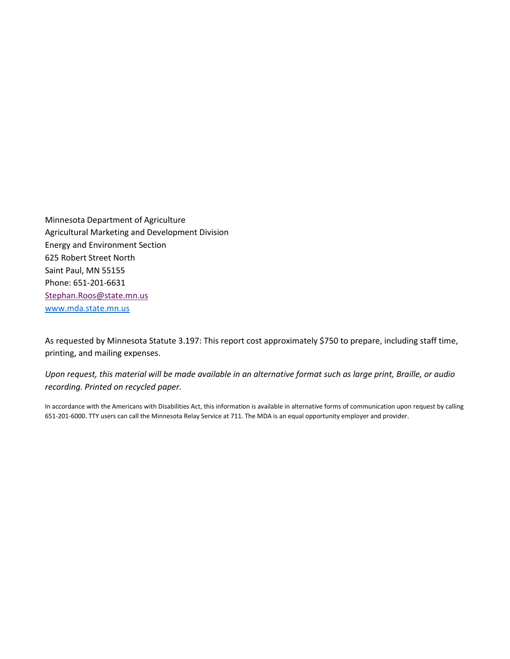Minnesota Department of Agriculture Agricultural Marketing and Development Division Energy and Environment Section 625 Robert Street North Saint Paul, MN 55155 Phone: 651-201-6631 [Stephan.Roos@state.mn.us](mailto:Stephan.Roos@state.mn.us) [www.mda.state.mn.us](http://www.mda.state.mn.us/)

As requested by Minnesota Statute 3.197: This report cost approximately \$750 to prepare, including staff time, printing, and mailing expenses.

*Upon request, this material will be made available in an alternative format such as large print, Braille, or audio recording. Printed on recycled paper.*

In accordance with the Americans with Disabilities Act, this information is available in alternative forms of communication upon request by calling 651-201-6000. TTY users can call the Minnesota Relay Service at 711. The MDA is an equal opportunity employer and provider.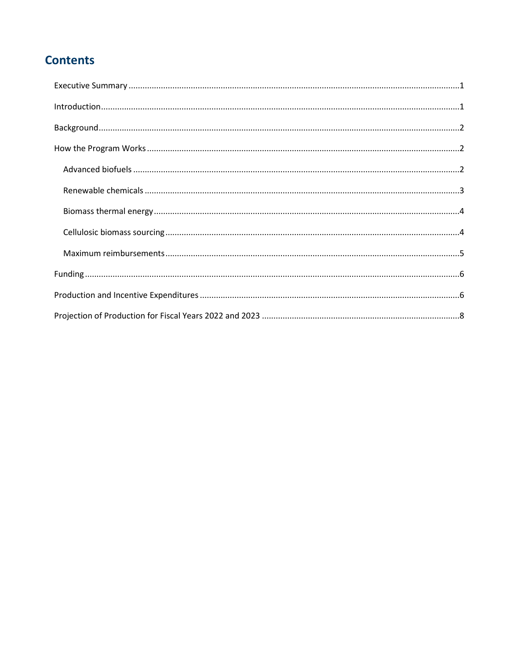# **Contents**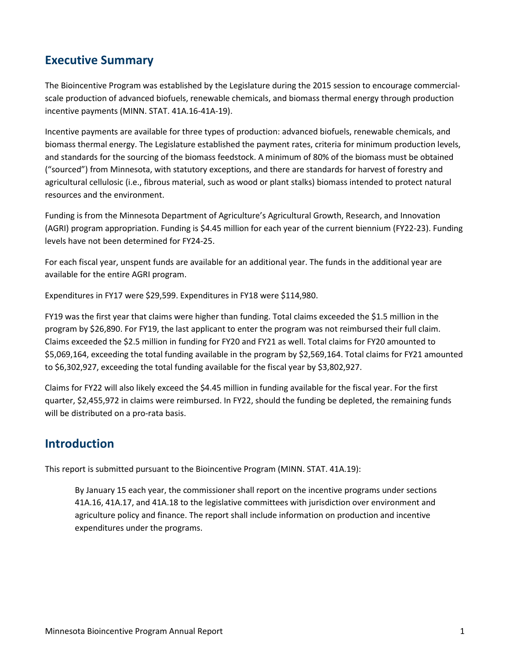## <span id="page-3-0"></span>**Executive Summary**

The Bioincentive Program was established by the Legislature during the 2015 session to encourage commercialscale production of advanced biofuels, renewable chemicals, and biomass thermal energy through production incentive payments (MINN. STAT. 41A.16-41A-19).

Incentive payments are available for three types of production: advanced biofuels, renewable chemicals, and biomass thermal energy. The Legislature established the payment rates, criteria for minimum production levels, and standards for the sourcing of the biomass feedstock. A minimum of 80% of the biomass must be obtained ("sourced") from Minnesota, with statutory exceptions, and there are standards for harvest of forestry and agricultural cellulosic (i.e., fibrous material, such as wood or plant stalks) biomass intended to protect natural resources and the environment.

Funding is from the Minnesota Department of Agriculture's Agricultural Growth, Research, and Innovation (AGRI) program appropriation. Funding is \$4.45 million for each year of the current biennium (FY22-23). Funding levels have not been determined for FY24-25.

For each fiscal year, unspent funds are available for an additional year. The funds in the additional year are available for the entire AGRI program.

Expenditures in FY17 were \$29,599. Expenditures in FY18 were \$114,980.

FY19 was the first year that claims were higher than funding. Total claims exceeded the \$1.5 million in the program by \$26,890. For FY19, the last applicant to enter the program was not reimbursed their full claim. Claims exceeded the \$2.5 million in funding for FY20 and FY21 as well. Total claims for FY20 amounted to \$5,069,164, exceeding the total funding available in the program by \$2,569,164. Total claims for FY21 amounted to \$6,302,927, exceeding the total funding available for the fiscal year by \$3,802,927.

Claims for FY22 will also likely exceed the \$4.45 million in funding available for the fiscal year. For the first quarter, \$2,455,972 in claims were reimbursed. In FY22, should the funding be depleted, the remaining funds will be distributed on a pro-rata basis.

## <span id="page-3-1"></span>**Introduction**

This report is submitted pursuant to the Bioincentive Program (MINN. STAT. 41A.19):

By January 15 each year, the commissioner shall report on the incentive programs under sections 41A.16, 41A.17, and 41A.18 to the legislative committees with jurisdiction over environment and agriculture policy and finance. The report shall include information on production and incentive expenditures under the programs.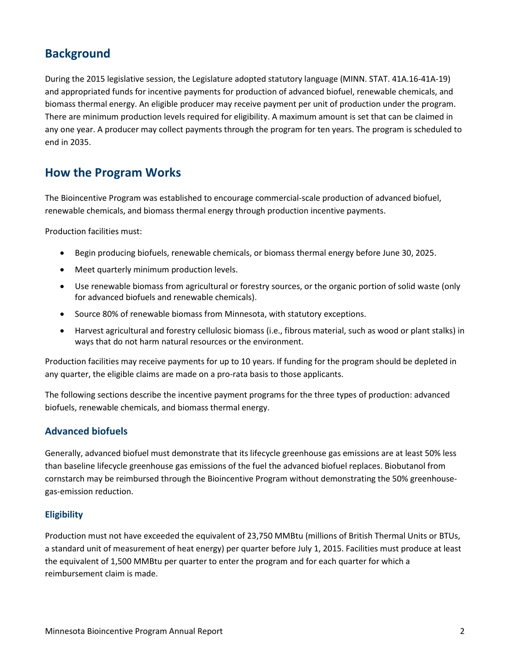# <span id="page-4-0"></span>**Background**

During the 2015 legislative session, the Legislature adopted statutory language (MINN. STAT. 41A.16-41A-19) and appropriated funds for incentive payments for production of advanced biofuel, renewable chemicals, and biomass thermal energy. An eligible producer may receive payment per unit of production under the program. There are minimum production levels required for eligibility. A maximum amount is set that can be claimed in any one year. A producer may collect payments through the program for ten years. The program is scheduled to end in 2035.

## <span id="page-4-1"></span>**How the Program Works**

The Bioincentive Program was established to encourage commercial-scale production of advanced biofuel, renewable chemicals, and biomass thermal energy through production incentive payments.

Production facilities must:

- Begin producing biofuels, renewable chemicals, or biomass thermal energy before June 30, 2025.
- Meet quarterly minimum production levels.
- Use renewable biomass from agricultural or forestry sources, or the organic portion of solid waste (only for advanced biofuels and renewable chemicals).
- Source 80% of renewable biomass from Minnesota, with statutory exceptions.
- Harvest agricultural and forestry cellulosic biomass (i.e., fibrous material, such as wood or plant stalks) in ways that do not harm natural resources or the environment.

Production facilities may receive payments for up to 10 years. If funding for the program should be depleted in any quarter, the eligible claims are made on a pro-rata basis to those applicants.

The following sections describe the incentive payment programs for the three types of production: advanced biofuels, renewable chemicals, and biomass thermal energy.

### <span id="page-4-2"></span>**Advanced biofuels**

Generally, advanced biofuel must demonstrate that its lifecycle greenhouse gas emissions are at least 50% less than baseline lifecycle greenhouse gas emissions of the fuel the advanced biofuel replaces. Biobutanol from cornstarch may be reimbursed through the Bioincentive Program without demonstrating the 50% greenhousegas-emission reduction.

### **Eligibility**

Production must not have exceeded the equivalent of 23,750 MMBtu (millions of British Thermal Units or BTUs, a standard unit of measurement of heat energy) per quarter before July 1, 2015. Facilities must produce at least the equivalent of 1,500 MMBtu per quarter to enter the program and for each quarter for which a reimbursement claim is made.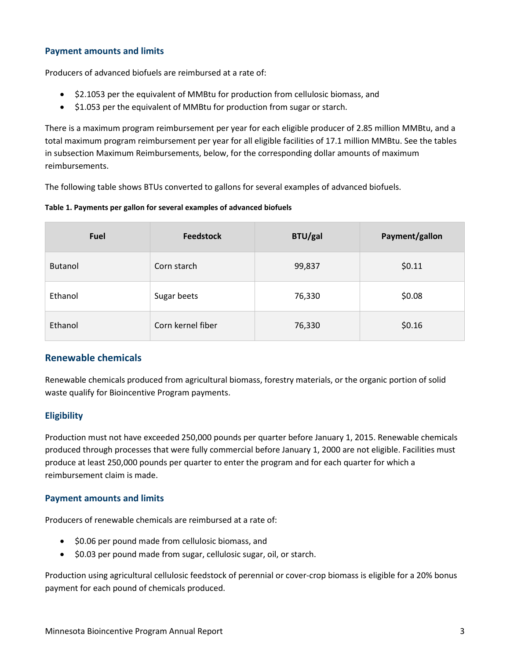#### **Payment amounts and limits**

Producers of advanced biofuels are reimbursed at a rate of:

- \$2.1053 per the equivalent of MMBtu for production from cellulosic biomass, and
- \$1.053 per the equivalent of MMBtu for production from sugar or starch.

There is a maximum program reimbursement per year for each eligible producer of 2.85 million MMBtu, and a total maximum program reimbursement per year for all eligible facilities of 17.1 million MMBtu. See the tables in subsection Maximum Reimbursements, below, for the corresponding dollar amounts of maximum reimbursements.

The following table shows BTUs converted to gallons for several examples of advanced biofuels.

**Table 1. Payments per gallon for several examples of advanced biofuels**

| Fuel           | <b>Feedstock</b>  | <b>BTU/gal</b> | Payment/gallon |
|----------------|-------------------|----------------|----------------|
| <b>Butanol</b> | Corn starch       | 99,837         | \$0.11         |
| Ethanol        | Sugar beets       | 76,330         | \$0.08         |
| Ethanol        | Corn kernel fiber | 76,330         | \$0.16         |

## <span id="page-5-0"></span>**Renewable chemicals**

Renewable chemicals produced from agricultural biomass, forestry materials, or the organic portion of solid waste qualify for Bioincentive Program payments.

### **Eligibility**

Production must not have exceeded 250,000 pounds per quarter before January 1, 2015. Renewable chemicals produced through processes that were fully commercial before January 1, 2000 are not eligible. Facilities must produce at least 250,000 pounds per quarter to enter the program and for each quarter for which a reimbursement claim is made.

#### **Payment amounts and limits**

Producers of renewable chemicals are reimbursed at a rate of:

- \$0.06 per pound made from cellulosic biomass, and
- \$0.03 per pound made from sugar, cellulosic sugar, oil, or starch.

Production using agricultural cellulosic feedstock of perennial or cover-crop biomass is eligible for a 20% bonus payment for each pound of chemicals produced.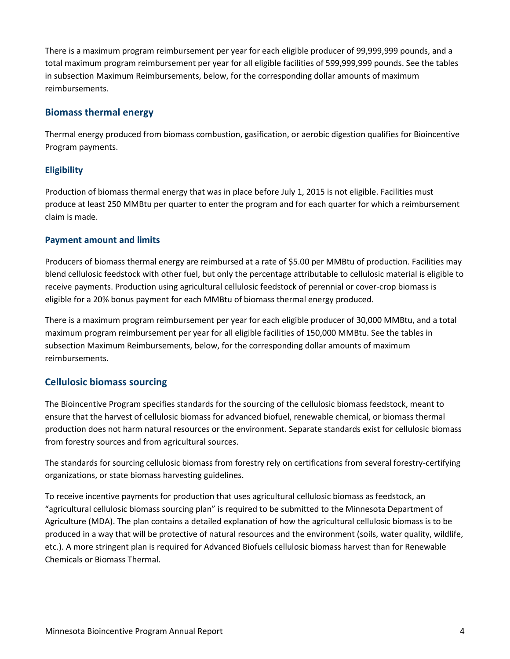There is a maximum program reimbursement per year for each eligible producer of 99,999,999 pounds, and a total maximum program reimbursement per year for all eligible facilities of 599,999,999 pounds. See the tables in subsection Maximum Reimbursements, below, for the corresponding dollar amounts of maximum reimbursements.

## <span id="page-6-0"></span>**Biomass thermal energy**

Thermal energy produced from biomass combustion, gasification, or aerobic digestion qualifies for Bioincentive Program payments.

## **Eligibility**

Production of biomass thermal energy that was in place before July 1, 2015 is not eligible. Facilities must produce at least 250 MMBtu per quarter to enter the program and for each quarter for which a reimbursement claim is made.

### **Payment amount and limits**

Producers of biomass thermal energy are reimbursed at a rate of \$5.00 per MMBtu of production. Facilities may blend cellulosic feedstock with other fuel, but only the percentage attributable to cellulosic material is eligible to receive payments. Production using agricultural cellulosic feedstock of perennial or cover-crop biomass is eligible for a 20% bonus payment for each MMBtu of biomass thermal energy produced.

There is a maximum program reimbursement per year for each eligible producer of 30,000 MMBtu, and a total maximum program reimbursement per year for all eligible facilities of 150,000 MMBtu. See the tables in subsection Maximum Reimbursements, below, for the corresponding dollar amounts of maximum reimbursements.

### <span id="page-6-1"></span>**Cellulosic biomass sourcing**

The Bioincentive Program specifies standards for the sourcing of the cellulosic biomass feedstock, meant to ensure that the harvest of cellulosic biomass for advanced biofuel, renewable chemical, or biomass thermal production does not harm natural resources or the environment. Separate standards exist for cellulosic biomass from forestry sources and from agricultural sources.

The standards for sourcing cellulosic biomass from forestry rely on certifications from several forestry-certifying organizations, or state biomass harvesting guidelines.

To receive incentive payments for production that uses agricultural cellulosic biomass as feedstock, an "agricultural cellulosic biomass sourcing plan" is required to be submitted to the Minnesota Department of Agriculture (MDA). The plan contains a detailed explanation of how the agricultural cellulosic biomass is to be produced in a way that will be protective of natural resources and the environment (soils, water quality, wildlife, etc.). A more stringent plan is required for Advanced Biofuels cellulosic biomass harvest than for Renewable Chemicals or Biomass Thermal.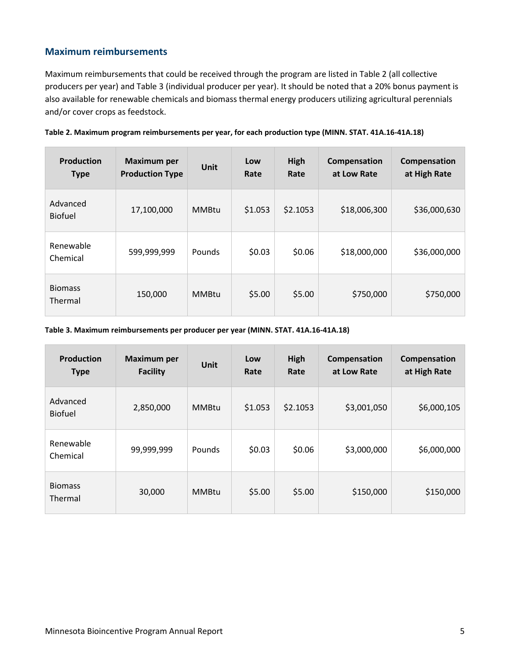## <span id="page-7-0"></span>**Maximum reimbursements**

Maximum reimbursements that could be received through the program are listed in Table 2 (all collective producers per year) and Table 3 (individual producer per year). It should be noted that a 20% bonus payment is also available for renewable chemicals and biomass thermal energy producers utilizing agricultural perennials and/or cover crops as feedstock.

| <b>Production</b><br><b>Type</b> | <b>Maximum per</b><br><b>Production Type</b> | <b>Unit</b>  | Low<br>Rate | High<br>Rate | Compensation<br>at Low Rate | Compensation<br>at High Rate |
|----------------------------------|----------------------------------------------|--------------|-------------|--------------|-----------------------------|------------------------------|
| Advanced<br><b>Biofuel</b>       | 17,100,000                                   | <b>MMBtu</b> | \$1.053     | \$2.1053     | \$18,006,300                | \$36,000,630                 |
| Renewable<br>Chemical            | 599,999,999                                  | Pounds       | \$0.03      | \$0.06       | \$18,000,000                | \$36,000,000                 |
| <b>Biomass</b><br>Thermal        | 150,000                                      | <b>MMBtu</b> | \$5.00      | \$5.00       | \$750,000                   | \$750,000                    |

|  | Table 2. Maximum program reimbursements per year, for each production type (MINN. STAT. 41A.16-41A.18) |
|--|--------------------------------------------------------------------------------------------------------|
|--|--------------------------------------------------------------------------------------------------------|

**Table 3. Maximum reimbursements per producer per year (MINN. STAT. 41A.16-41A.18)**

| <b>Production</b><br><b>Type</b> | <b>Maximum per</b><br><b>Facility</b> | <b>Unit</b>  | Low<br>Rate | High<br>Rate | Compensation<br>at Low Rate | Compensation<br>at High Rate |
|----------------------------------|---------------------------------------|--------------|-------------|--------------|-----------------------------|------------------------------|
| Advanced<br><b>Biofuel</b>       | 2,850,000                             | <b>MMBtu</b> | \$1.053     | \$2.1053     | \$3,001,050                 | \$6,000,105                  |
| Renewable<br>Chemical            | 99,999,999                            | Pounds       | \$0.03      | \$0.06       | \$3,000,000                 | \$6,000,000                  |
| <b>Biomass</b><br>Thermal        | 30,000                                | <b>MMBtu</b> | \$5.00      | \$5.00       | \$150,000                   | \$150,000                    |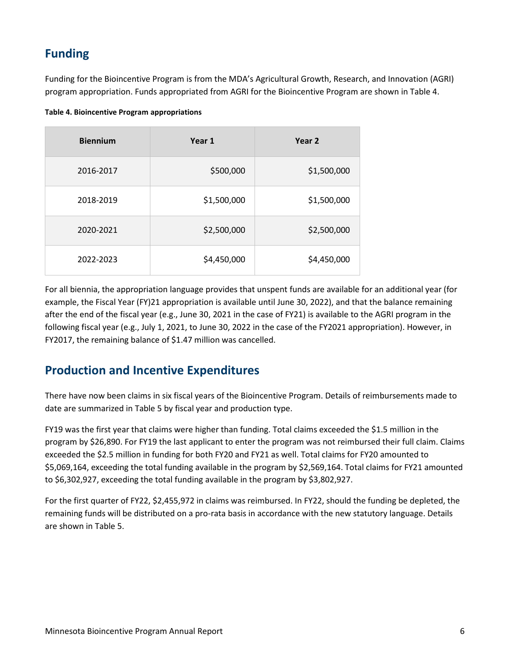# <span id="page-8-0"></span>**Funding**

Funding for the Bioincentive Program is from the MDA's Agricultural Growth, Research, and Innovation (AGRI) program appropriation. Funds appropriated from AGRI for the Bioincentive Program are shown in Table 4.

| Table 4. Bioincentive Program appropriations |  |  |
|----------------------------------------------|--|--|
|----------------------------------------------|--|--|

| <b>Biennium</b> | Year 1      | Year 2      |
|-----------------|-------------|-------------|
| 2016-2017       | \$500,000   | \$1,500,000 |
| 2018-2019       | \$1,500,000 | \$1,500,000 |
| 2020-2021       | \$2,500,000 | \$2,500,000 |
| 2022-2023       | \$4,450,000 | \$4,450,000 |

For all biennia, the appropriation language provides that unspent funds are available for an additional year (for example, the Fiscal Year (FY)21 appropriation is available until June 30, 2022), and that the balance remaining after the end of the fiscal year (e.g., June 30, 2021 in the case of FY21) is available to the AGRI program in the following fiscal year (e.g., July 1, 2021, to June 30, 2022 in the case of the FY2021 appropriation). However, in FY2017, the remaining balance of \$1.47 million was cancelled.

## <span id="page-8-1"></span>**Production and Incentive Expenditures**

There have now been claims in six fiscal years of the Bioincentive Program. Details of reimbursements made to date are summarized in Table 5 by fiscal year and production type.

FY19 was the first year that claims were higher than funding. Total claims exceeded the \$1.5 million in the program by \$26,890. For FY19 the last applicant to enter the program was not reimbursed their full claim. Claims exceeded the \$2.5 million in funding for both FY20 and FY21 as well. Total claims for FY20 amounted to \$5,069,164, exceeding the total funding available in the program by \$2,569,164. Total claims for FY21 amounted to \$6,302,927, exceeding the total funding available in the program by \$3,802,927.

For the first quarter of FY22, \$2,455,972 in claims was reimbursed. In FY22, should the funding be depleted, the remaining funds will be distributed on a pro-rata basis in accordance with the new statutory language. Details are shown in Table 5.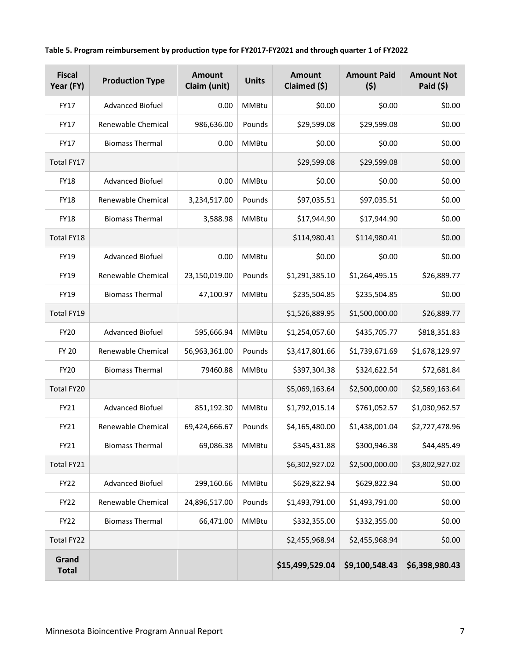|  |  | Table 5. Program reimbursement by production type for FY2017-FY2021 and through quarter 1 of FY2022 |
|--|--|-----------------------------------------------------------------------------------------------------|
|--|--|-----------------------------------------------------------------------------------------------------|

| <b>Fiscal</b><br>Year (FY) | <b>Production Type</b>  | <b>Amount</b><br>Claim (unit) | <b>Units</b> | <b>Amount</b><br>Claimed (\$) | <b>Amount Paid</b><br>(5) | <b>Amount Not</b><br>Paid $(5)$ |
|----------------------------|-------------------------|-------------------------------|--------------|-------------------------------|---------------------------|---------------------------------|
| <b>FY17</b>                | <b>Advanced Biofuel</b> | 0.00                          | <b>MMBtu</b> | \$0.00                        | \$0.00                    | \$0.00                          |
| <b>FY17</b>                | Renewable Chemical      | 986,636.00                    | Pounds       | \$29,599.08                   | \$29,599.08               | \$0.00                          |
| FY17                       | <b>Biomass Thermal</b>  | 0.00                          | <b>MMBtu</b> | \$0.00                        | \$0.00                    | \$0.00                          |
| Total FY17                 |                         |                               |              | \$29,599.08                   | \$29,599.08               | \$0.00                          |
| <b>FY18</b>                | <b>Advanced Biofuel</b> | 0.00                          | <b>MMBtu</b> | \$0.00                        | \$0.00                    | \$0.00                          |
| <b>FY18</b>                | Renewable Chemical      | 3,234,517.00                  | Pounds       | \$97,035.51                   | \$97,035.51               | \$0.00                          |
| <b>FY18</b>                | <b>Biomass Thermal</b>  | 3,588.98                      | <b>MMBtu</b> | \$17,944.90                   | \$17,944.90               | \$0.00                          |
| Total FY18                 |                         |                               |              | \$114,980.41                  | \$114,980.41              | \$0.00                          |
| <b>FY19</b>                | <b>Advanced Biofuel</b> | 0.00                          | <b>MMBtu</b> | \$0.00                        | \$0.00                    | \$0.00                          |
| FY19                       | Renewable Chemical      | 23,150,019.00                 | Pounds       | \$1,291,385.10                | \$1,264,495.15            | \$26,889.77                     |
| FY19                       | <b>Biomass Thermal</b>  | 47,100.97                     | <b>MMBtu</b> | \$235,504.85                  | \$235,504.85              | \$0.00                          |
| Total FY19                 |                         |                               |              | \$1,526,889.95                | \$1,500,000.00            | \$26,889.77                     |
| <b>FY20</b>                | <b>Advanced Biofuel</b> | 595,666.94                    | <b>MMBtu</b> | \$1,254,057.60                | \$435,705.77              | \$818,351.83                    |
| <b>FY 20</b>               | Renewable Chemical      | 56,963,361.00                 | Pounds       | \$3,417,801.66                | \$1,739,671.69            | \$1,678,129.97                  |
| <b>FY20</b>                | <b>Biomass Thermal</b>  | 79460.88                      | <b>MMBtu</b> | \$397,304.38                  | \$324,622.54              | \$72,681.84                     |
| Total FY20                 |                         |                               |              | \$5,069,163.64                | \$2,500,000.00            | \$2,569,163.64                  |
| FY21                       | <b>Advanced Biofuel</b> | 851,192.30                    | MMBtu        | \$1,792,015.14                | \$761,052.57              | \$1,030,962.57                  |
| FY21                       | Renewable Chemical      | 69,424,666.67                 | Pounds       | \$4,165,480.00                | \$1,438,001.04            | \$2,727,478.96                  |
| FY21                       | <b>Biomass Thermal</b>  | 69,086.38                     | <b>MMBtu</b> | \$345,431.88                  | \$300,946.38              | \$44,485.49                     |
| Total FY21                 |                         |                               |              | \$6,302,927.02                | \$2,500,000.00            | \$3,802,927.02                  |
| FY22                       | <b>Advanced Biofuel</b> | 299,160.66                    | MMBtu        | \$629,822.94                  | \$629,822.94              | \$0.00                          |
| FY22                       | Renewable Chemical      | 24,896,517.00                 | Pounds       | \$1,493,791.00                | \$1,493,791.00            | \$0.00                          |
| FY22                       | <b>Biomass Thermal</b>  | 66,471.00                     | MMBtu        | \$332,355.00                  | \$332,355.00              | \$0.00                          |
| Total FY22                 |                         |                               |              | \$2,455,968.94                | \$2,455,968.94            | \$0.00                          |
| Grand<br><b>Total</b>      |                         |                               |              | \$15,499,529.04               | \$9,100,548.43            | \$6,398,980.43                  |